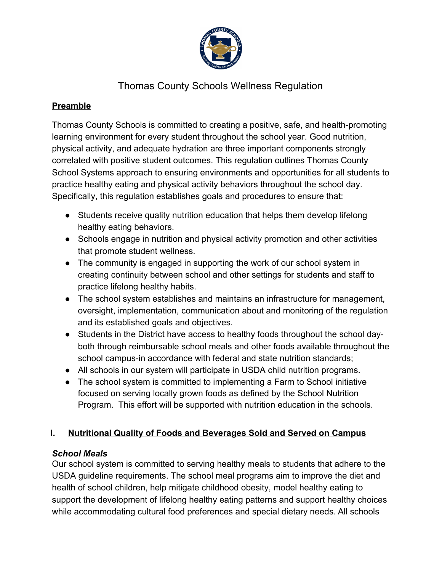

# Thomas County Schools Wellness Regulation

## **Preamble**

Thomas County Schools is committed to creating a positive, safe, and health-promoting learning environment for every student throughout the school year. Good nutrition, physical activity, and adequate hydration are three important components strongly correlated with positive student outcomes. This regulation outlines Thomas County School Systems approach to ensuring environments and opportunities for all students to practice healthy eating and physical activity behaviors throughout the school day. Specifically, this regulation establishes goals and procedures to ensure that:

- Students receive quality nutrition education that helps them develop lifelong healthy eating behaviors.
- Schools engage in nutrition and physical activity promotion and other activities that promote student wellness.
- The community is engaged in supporting the work of our school system in creating continuity between school and other settings for students and staff to practice lifelong healthy habits.
- The school system establishes and maintains an infrastructure for management, oversight, implementation, communication about and monitoring of the regulation and its established goals and objectives*.*
- Students in the District have access to healthy foods throughout the school dayboth through reimbursable school meals and other foods available throughout the school campus-in accordance with federal and state nutrition standards;
- All schools in our system will participate in USDA child nutrition programs.
- The school system is committed to implementing a Farm to School initiative focused on serving locally grown foods as defined by the School Nutrition Program. This effort will be supported with nutrition education in the schools.

# **I. Nutritional Quality of Foods and Beverages Sold and Served on Campus**

### *School Meals*

Our school system is committed to serving healthy meals to students that adhere to the USDA guideline requirements. The school meal programs aim to improve the diet and health of school children, help mitigate childhood obesity, model healthy eating to support the development of lifelong healthy eating patterns and support healthy choices while accommodating cultural food preferences and special dietary needs. All schools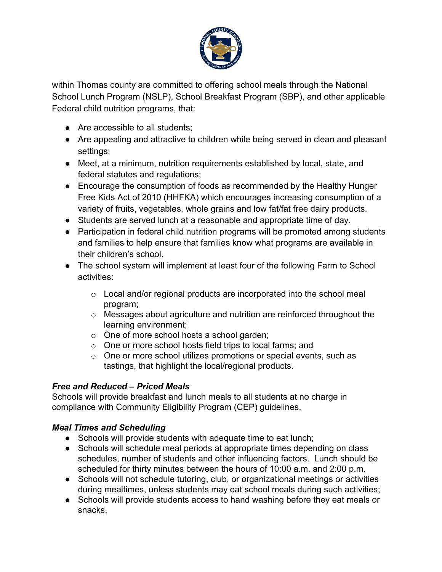

within Thomas county are committed to offering school meals through the National School Lunch Program (NSLP), School Breakfast Program (SBP), and other applicable Federal child nutrition programs, that:

- Are accessible to all students;
- Are appealing and attractive to children while being served in clean and pleasant settings;
- Meet, at a minimum, nutrition requirements established by local, state, and federal statutes and regulations;
- Encourage the consumption of foods as recommended by the Healthy Hunger Free Kids Act of 2010 (HHFKA) which encourages increasing consumption of a variety of fruits, vegetables, whole grains and low fat/fat free dairy products.
- Students are served lunch at a reasonable and appropriate time of day.
- Participation in federal child nutrition programs will be promoted among students and families to help ensure that families know what programs are available in their children's school.
- The school system will implement at least four of the following Farm to School activities:
	- $\circ$  Local and/or regional products are incorporated into the school meal program;
	- o Messages about agriculture and nutrition are reinforced throughout the learning environment;
	- o One of more school hosts a school garden;
	- o One or more school hosts field trips to local farms; and
	- o One or more school utilizes promotions or special events, such as tastings, that highlight the local/regional products.

### *Free and Reduced – Priced Meals*

Schools will provide breakfast and lunch meals to all students at no charge in compliance with Community Eligibility Program (CEP) guidelines.

### *Meal Times and Scheduling*

- *●* Schools will provide students with adequate time to eat lunch;
- *●* Schools will schedule meal periods at appropriate times depending on class schedules, number of students and other influencing factors. Lunch should be scheduled for thirty minutes between the hours of 10:00 a.m. and 2:00 p.m.
- *●* Schools will not schedule tutoring, club, or organizational meetings or activities during mealtimes, unless students may eat school meals during such activities;
- *●* Schools will provide students access to hand washing before they eat meals or snacks.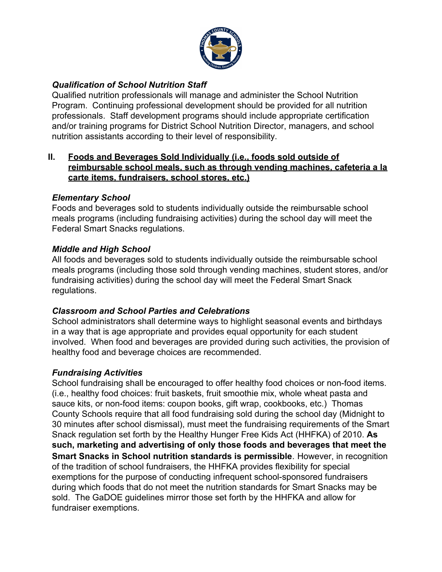

### *Qualification of School Nutrition Staff*

Qualified nutrition professionals will manage and administer the School Nutrition Program. Continuing professional development should be provided for all nutrition professionals. Staff development programs should include appropriate certification and/or training programs for District School Nutrition Director, managers, and school nutrition assistants according to their level of responsibility.

#### **II. Foods and Beverages Sold Individually (i.e., foods sold outside of reimbursable school meals, such as through vending machines, cafeteria a la carte items, fundraisers, school stores, etc.)**

### *Elementary School*

Foods and beverages sold to students individually outside the reimbursable school meals programs (including fundraising activities) during the school day will meet the Federal Smart Snacks regulations.

### *Middle and High School*

All foods and beverages sold to students individually outside the reimbursable school meals programs (including those sold through vending machines, student stores, and/or fundraising activities) during the school day will meet the Federal Smart Snack regulations.

### *Classroom and School Parties and Celebrations*

School administrators shall determine ways to highlight seasonal events and birthdays in a way that is age appropriate and provides equal opportunity for each student involved. When food and beverages are provided during such activities, the provision of healthy food and beverage choices are recommended.

### *Fundraising Activities*

School fundraising shall be encouraged to offer healthy food choices or non-food items. (i.e., healthy food choices: fruit baskets, fruit smoothie mix, whole wheat pasta and sauce kits, or non-food items: coupon books, gift wrap, cookbooks, etc.) Thomas County Schools require that all food fundraising sold during the school day (Midnight to 30 minutes after school dismissal), must meet the fundraising requirements of the Smart Snack regulation set forth by the Healthy Hunger Free Kids Act (HHFKA) of 2010. **As such, marketing and advertising of only those foods and beverages that meet the Smart Snacks in School nutrition standards is permissible**. However, in recognition of the tradition of school fundraisers, the HHFKA provides flexibility for special exemptions for the purpose of conducting infrequent school-sponsored fundraisers during which foods that do not meet the nutrition standards for Smart Snacks may be sold. The GaDOE guidelines mirror those set forth by the HHFKA and allow for fundraiser exemptions.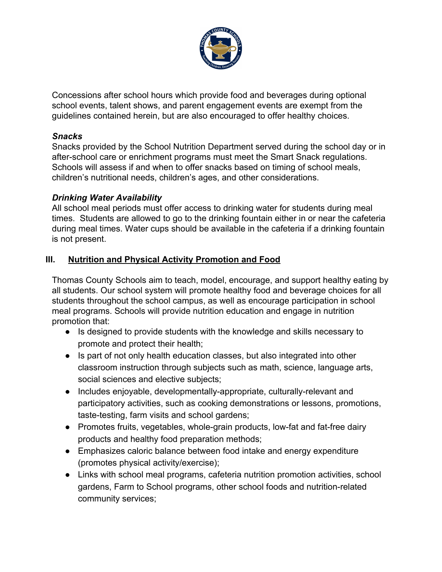

Concessions after school hours which provide food and beverages during optional school events, talent shows, and parent engagement events are exempt from the guidelines contained herein, but are also encouraged to offer healthy choices.

### *Snacks*

Snacks provided by the School Nutrition Department served during the school day or in after-school care or enrichment programs must meet the Smart Snack regulations. Schools will assess if and when to offer snacks based on timing of school meals, children's nutritional needs, children's ages, and other considerations.

### *Drinking Water Availability*

All school meal periods must offer access to drinking water for students during meal times. Students are allowed to go to the drinking fountain either in or near the cafeteria during meal times. Water cups should be available in the cafeteria if a drinking fountain is not present.

### **III. Nutrition and Physical Activity Promotion and Food**

Thomas County Schools aim to teach, model, encourage, and support healthy eating by all students. Our school system will promote healthy food and beverage choices for all students throughout the school campus, as well as encourage participation in school meal programs. Schools will provide nutrition education and engage in nutrition promotion that:

- Is designed to provide students with the knowledge and skills necessary to promote and protect their health;
- Is part of not only health education classes, but also integrated into other classroom instruction through subjects such as math, science, language arts, social sciences and elective subjects;
- Includes enjoyable, developmentally-appropriate, culturally-relevant and participatory activities, such as cooking demonstrations or lessons, promotions, taste-testing, farm visits and school gardens;
- Promotes fruits, vegetables, whole-grain products, low-fat and fat-free dairy products and healthy food preparation methods;
- Emphasizes caloric balance between food intake and energy expenditure (promotes physical activity/exercise);
- Links with school meal programs, cafeteria nutrition promotion activities, school gardens, Farm to School programs, other school foods and nutrition-related community services;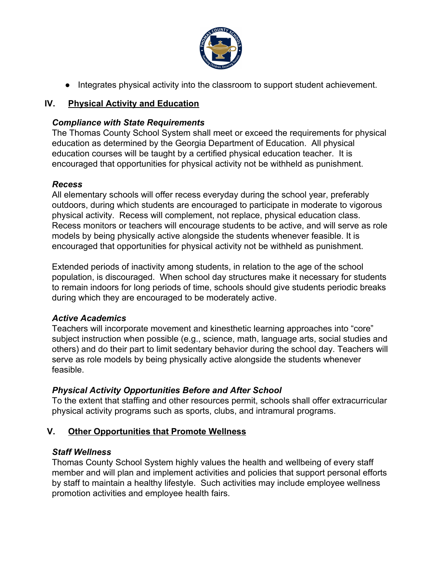

● Integrates physical activity into the classroom to support student achievement.

### **IV. Physical Activity and Education**

### *Compliance with State Requirements*

The Thomas County School System shall meet or exceed the requirements for physical education as determined by the Georgia Department of Education. All physical education courses will be taught by a certified physical education teacher. It is encouraged that opportunities for physical activity not be withheld as punishment.

### *Recess*

All elementary schools will offer recess everyday during the school year, preferably outdoors, during which students are encouraged to participate in moderate to vigorous physical activity. Recess will complement, not replace, physical education class. Recess monitors or teachers will encourage students to be active, and will serve as role models by being physically active alongside the students whenever feasible. It is encouraged that opportunities for physical activity not be withheld as punishment.

Extended periods of inactivity among students, in relation to the age of the school population, is discouraged. When school day structures make it necessary for students to remain indoors for long periods of time, schools should give students periodic breaks during which they are encouraged to be moderately active.

### *Active Academics*

Teachers will incorporate movement and kinesthetic learning approaches into "core" subject instruction when possible (e.g., science, math, language arts, social studies and others) and do their part to limit sedentary behavior during the school day. Teachers will serve as role models by being physically active alongside the students whenever feasible.

### *Physical Activity Opportunities Before and After School*

To the extent that staffing and other resources permit, schools shall offer extracurricular physical activity programs such as sports, clubs, and intramural programs.

### **V. Other Opportunities that Promote Wellness**

### *Staff Wellness*

Thomas County School System highly values the health and wellbeing of every staff member and will plan and implement activities and policies that support personal efforts by staff to maintain a healthy lifestyle. Such activities may include employee wellness promotion activities and employee health fairs.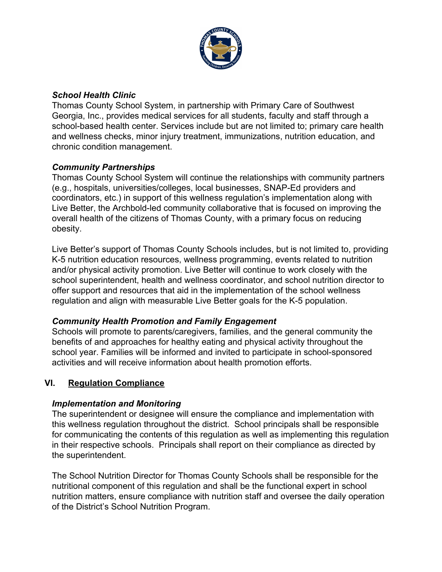

#### *School Health Clinic*

Thomas County School System, in partnership with Primary Care of Southwest Georgia, Inc., provides medical services for all students, faculty and staff through a school-based health center. Services include but are not limited to; primary care health and wellness checks, minor injury treatment, immunizations, nutrition education, and chronic condition management.

### *Community Partnerships*

Thomas County School System will continue the relationships with community partners (e.g., hospitals, universities/colleges, local businesses, SNAP-Ed providers and coordinators, etc.) in support of this wellness regulation's implementation along with Live Better, the Archbold-led community collaborative that is focused on improving the overall health of the citizens of Thomas County, with a primary focus on reducing obesity.

Live Better's support of Thomas County Schools includes, but is not limited to, providing K-5 nutrition education resources, wellness programming, events related to nutrition and/or physical activity promotion. Live Better will continue to work closely with the school superintendent, health and wellness coordinator, and school nutrition director to offer support and resources that aid in the implementation of the school wellness regulation and align with measurable Live Better goals for the K-5 population.

### *Community Health Promotion and Family Engagement*

Schools will promote to parents/caregivers, families, and the general community the benefits of and approaches for healthy eating and physical activity throughout the school year. Families will be informed and invited to participate in school-sponsored activities and will receive information about health promotion efforts.

### **VI. Regulation Compliance**

### *Implementation and Monitoring*

The superintendent or designee will ensure the compliance and implementation with this wellness regulation throughout the district. School principals shall be responsible for communicating the contents of this regulation as well as implementing this regulation in their respective schools. Principals shall report on their compliance as directed by the superintendent.

The School Nutrition Director for Thomas County Schools shall be responsible for the nutritional component of this regulation and shall be the functional expert in school nutrition matters, ensure compliance with nutrition staff and oversee the daily operation of the District's School Nutrition Program.